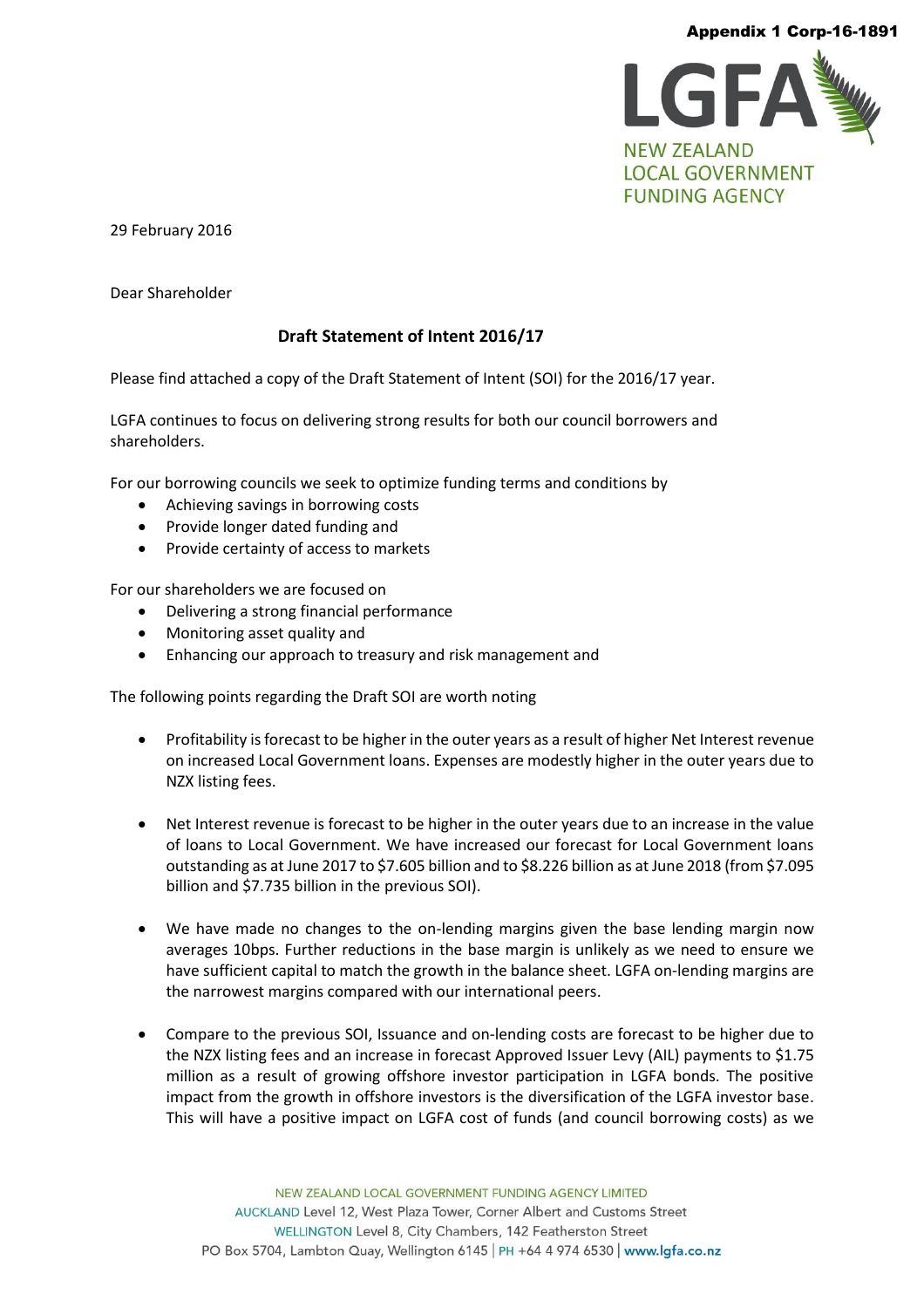#### Appendix 1 Corp-16-1891



29 February 2016

Dear Shareholder

# **Draft Statement of Intent 2016/17**

Please find attached a copy of the Draft Statement of Intent (SOI) for the 2016/17 year.

LGFA continues to focus on delivering strong results for both our council borrowers and shareholders.

For our borrowing councils we seek to optimize funding terms and conditions by

- Achieving savings in borrowing costs
- Provide longer dated funding and
- Provide certainty of access to markets

For our shareholders we are focused on

- Delivering a strong financial performance
- Monitoring asset quality and
- Enhancing our approach to treasury and risk management and

The following points regarding the Draft SOI are worth noting

- Profitability is forecast to be higher in the outer years as a result of higher Net Interest revenue on increased Local Government loans. Expenses are modestly higher in the outer years due to NZX listing fees.
- Net Interest revenue is forecast to be higher in the outer years due to an increase in the value of loans to Local Government. We have increased our forecast for Local Government loans outstanding as at June 2017 to \$7.605 billion and to \$8.226 billion as at June 2018 (from \$7.095 billion and \$7.735 billion in the previous SOI).
- We have made no changes to the on-lending margins given the base lending margin now averages 10bps. Further reductions in the base margin is unlikely as we need to ensure we have sufficient capital to match the growth in the balance sheet. LGFA on-lending margins are the narrowest margins compared with our international peers.
- Compare to the previous SOI, Issuance and on-lending costs are forecast to be higher due to the NZX listing fees and an increase in forecast Approved Issuer Levy (AIL) payments to \$1.75 million as a result of growing offshore investor participation in LGFA bonds. The positive impact from the growth in offshore investors is the diversification of the LGFA investor base. This will have a positive impact on LGFA cost of funds (and council borrowing costs) as we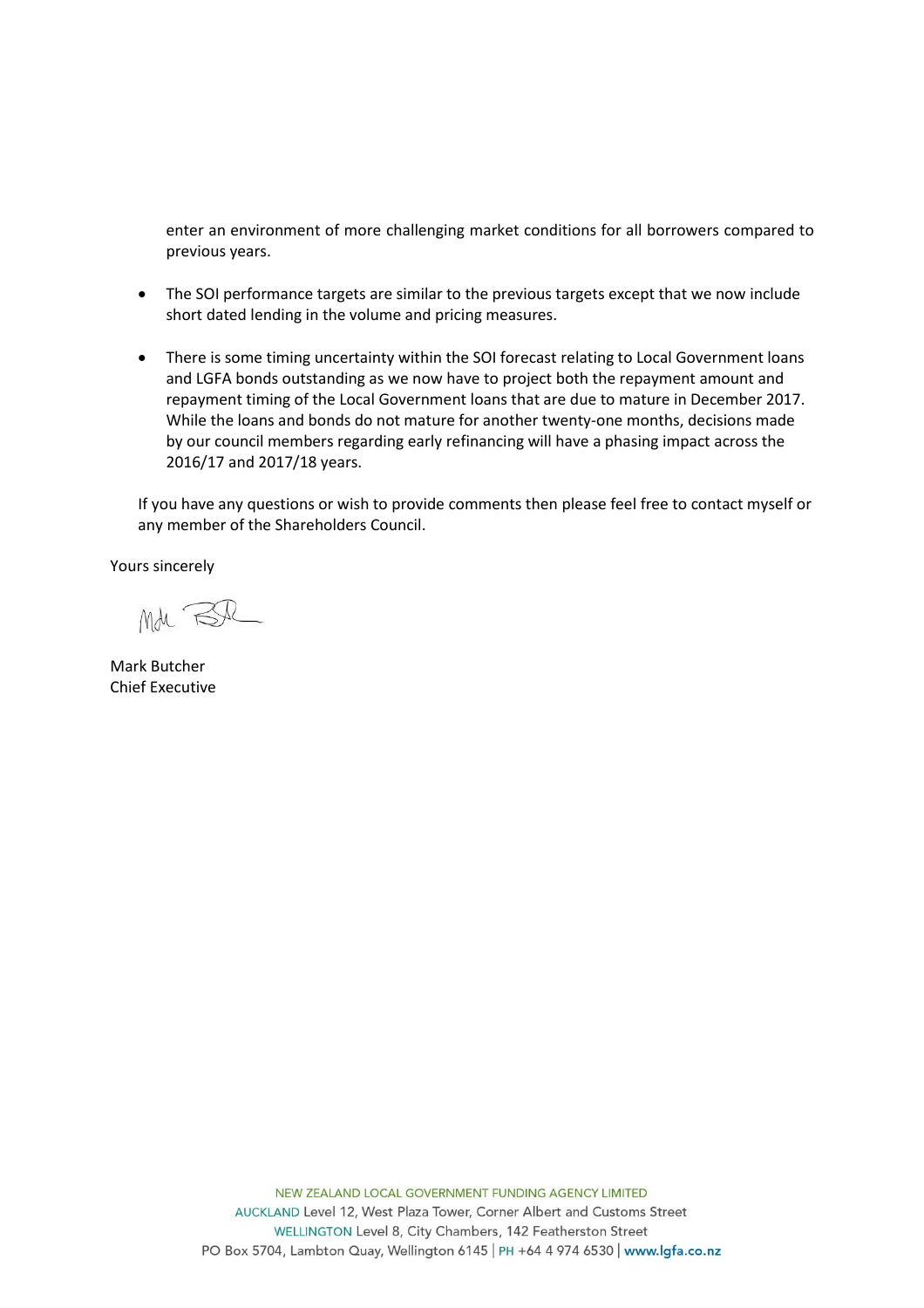enter an environment of more challenging market conditions for all borrowers compared to previous years.

- The SOI performance targets are similar to the previous targets except that we now include short dated lending in the volume and pricing measures.
- There is some timing uncertainty within the SOI forecast relating to Local Government loans and LGFA bonds outstanding as we now have to project both the repayment amount and repayment timing of the Local Government loans that are due to mature in December 2017. While the loans and bonds do not mature for another twenty-one months, decisions made by our council members regarding early refinancing will have a phasing impact across the 2016/17 and 2017/18 years.

If you have any questions or wish to provide comments then please feel free to contact myself or any member of the Shareholders Council.

Yours sincerely

Md BR

Mark Butcher Chief Executive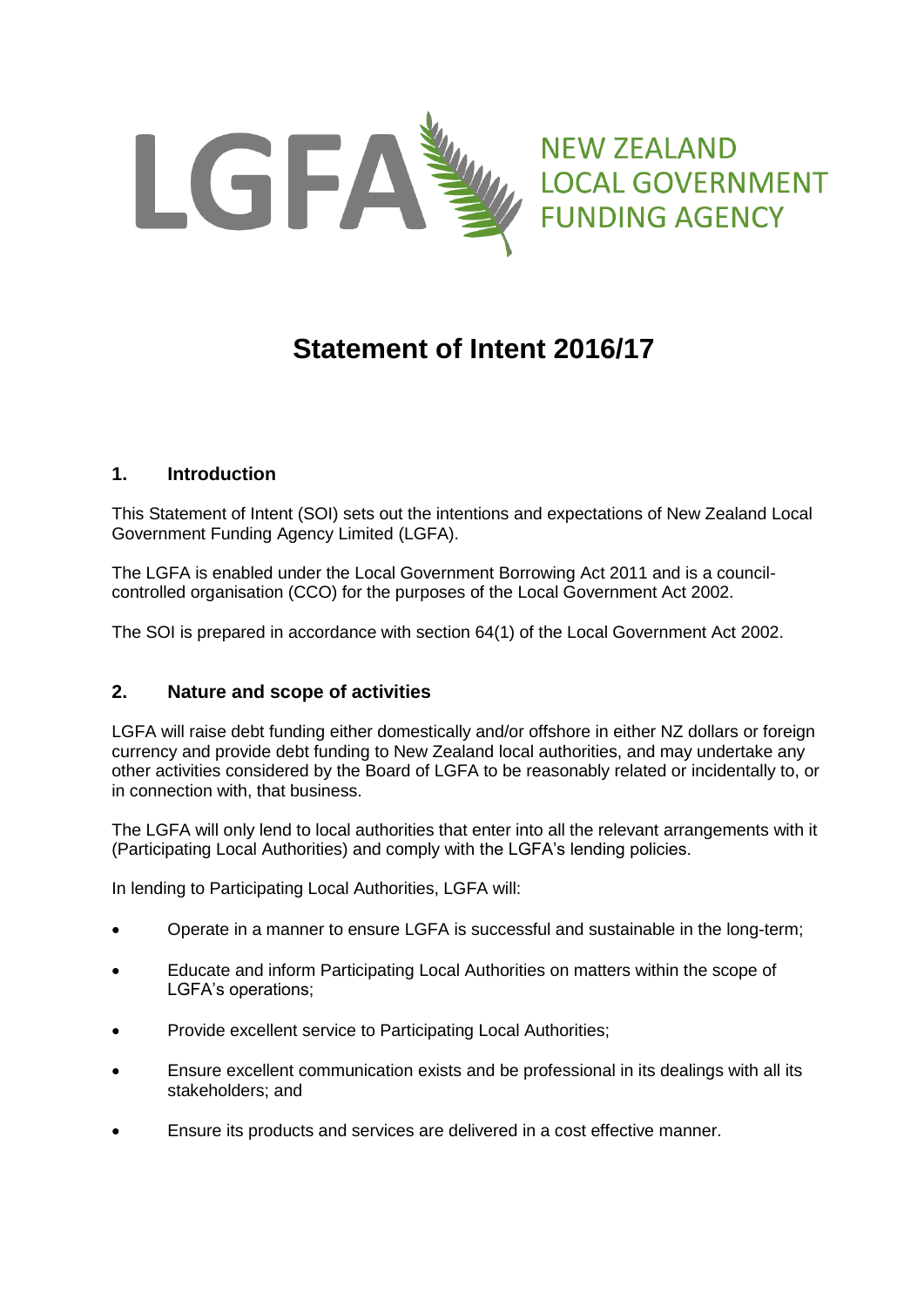

**NEW ZEALAND LOCAL GOVERNMENT FUNDING AGENCY** 

# **Statement of Intent 2016/17**

# **1. Introduction**

This Statement of Intent (SOI) sets out the intentions and expectations of New Zealand Local Government Funding Agency Limited (LGFA).

The LGFA is enabled under the Local Government Borrowing Act 2011 and is a councilcontrolled organisation (CCO) for the purposes of the Local Government Act 2002.

The SOI is prepared in accordance with section 64(1) of the Local Government Act 2002.

# **2. Nature and scope of activities**

LGFA will raise debt funding either domestically and/or offshore in either NZ dollars or foreign currency and provide debt funding to New Zealand local authorities, and may undertake any other activities considered by the Board of LGFA to be reasonably related or incidentally to, or in connection with, that business.

The LGFA will only lend to local authorities that enter into all the relevant arrangements with it (Participating Local Authorities) and comply with the LGFA's lending policies.

In lending to Participating Local Authorities, LGFA will:

- Operate in a manner to ensure LGFA is successful and sustainable in the long-term;
- Educate and inform Participating Local Authorities on matters within the scope of LGFA's operations;
- Provide excellent service to Participating Local Authorities;
- Ensure excellent communication exists and be professional in its dealings with all its stakeholders; and
- Ensure its products and services are delivered in a cost effective manner.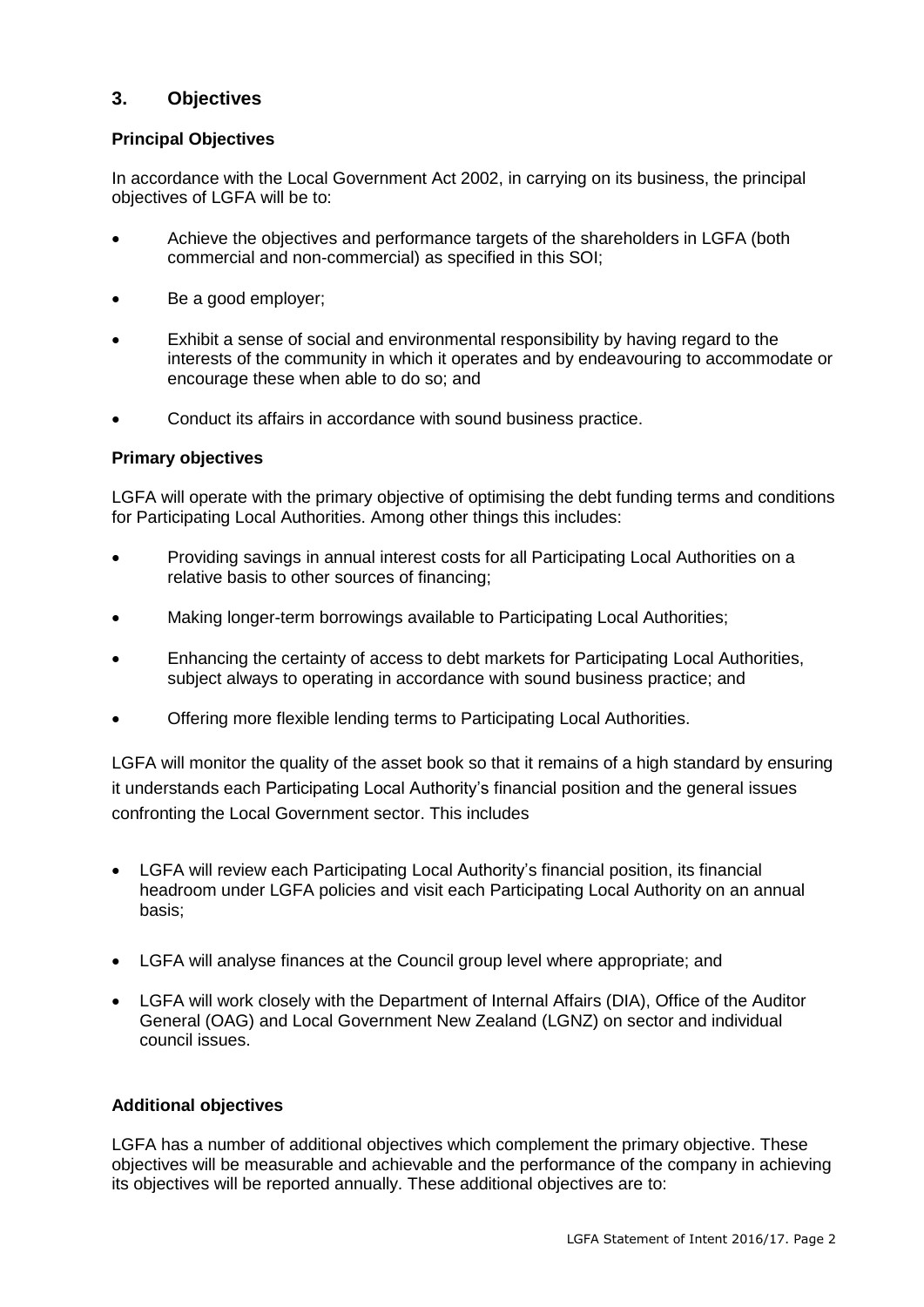# **3. Objectives**

# **Principal Objectives**

In accordance with the Local Government Act 2002, in carrying on its business, the principal objectives of LGFA will be to:

- Achieve the objectives and performance targets of the shareholders in LGFA (both commercial and non-commercial) as specified in this SOI;
- Be a good employer;
- Exhibit a sense of social and environmental responsibility by having regard to the interests of the community in which it operates and by endeavouring to accommodate or encourage these when able to do so; and
- Conduct its affairs in accordance with sound business practice.

# **Primary objectives**

LGFA will operate with the primary objective of optimising the debt funding terms and conditions for Participating Local Authorities. Among other things this includes:

- Providing savings in annual interest costs for all Participating Local Authorities on a relative basis to other sources of financing;
- Making longer-term borrowings available to Participating Local Authorities;
- Enhancing the certainty of access to debt markets for Participating Local Authorities, subject always to operating in accordance with sound business practice; and
- Offering more flexible lending terms to Participating Local Authorities.

LGFA will monitor the quality of the asset book so that it remains of a high standard by ensuring it understands each Participating Local Authority's financial position and the general issues confronting the Local Government sector. This includes

- LGFA will review each Participating Local Authority's financial position, its financial headroom under LGFA policies and visit each Participating Local Authority on an annual basis;
- LGFA will analyse finances at the Council group level where appropriate; and
- LGFA will work closely with the Department of Internal Affairs (DIA), Office of the Auditor General (OAG) and Local Government New Zealand (LGNZ) on sector and individual council issues.

#### **Additional objectives**

LGFA has a number of additional objectives which complement the primary objective. These objectives will be measurable and achievable and the performance of the company in achieving its objectives will be reported annually. These additional objectives are to: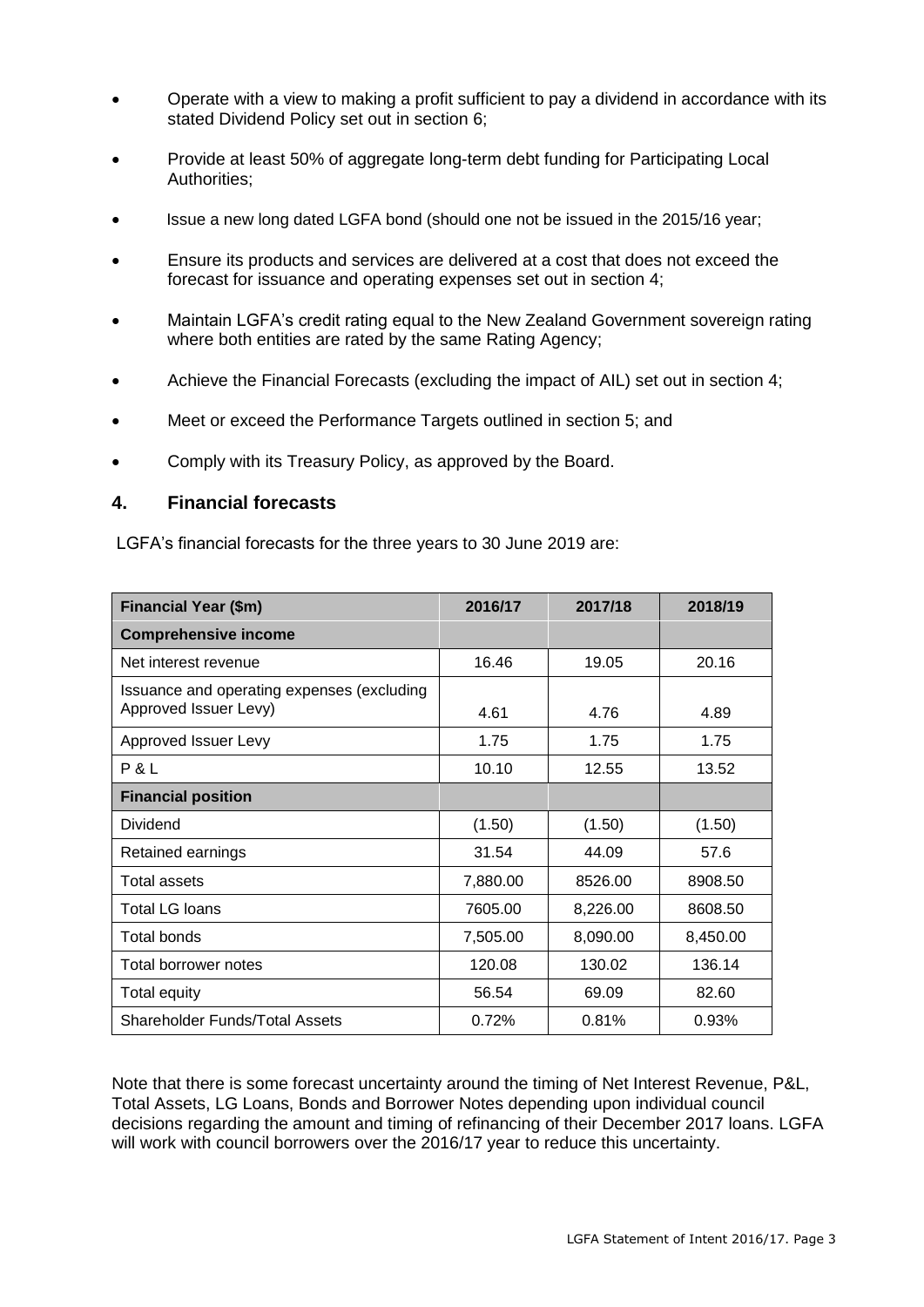- Operate with a view to making a profit sufficient to pay a dividend in accordance with its stated Dividend Policy set out in section 6;
- Provide at least 50% of aggregate long-term debt funding for Participating Local Authorities;
- Issue a new long dated LGFA bond (should one not be issued in the 2015/16 year;
- Ensure its products and services are delivered at a cost that does not exceed the forecast for issuance and operating expenses set out in section 4;
- Maintain LGFA's credit rating equal to the New Zealand Government sovereign rating where both entities are rated by the same Rating Agency;
- Achieve the Financial Forecasts (excluding the impact of AIL) set out in section 4;
- Meet or exceed the Performance Targets outlined in section 5; and
- Comply with its Treasury Policy, as approved by the Board.

# **4. Financial forecasts**

LGFA's financial forecasts for the three years to 30 June 2019 are:

| <b>Financial Year (\$m)</b>                | 2016/17  | 2017/18  | 2018/19  |
|--------------------------------------------|----------|----------|----------|
| <b>Comprehensive income</b>                |          |          |          |
| Net interest revenue                       | 16.46    | 19.05    | 20.16    |
| Issuance and operating expenses (excluding |          |          |          |
| Approved Issuer Levy)                      | 4.61     | 4.76     | 4.89     |
| Approved Issuer Levy                       | 1.75     | 1.75     | 1.75     |
| P & L                                      | 10.10    | 12.55    | 13.52    |
| <b>Financial position</b>                  |          |          |          |
| Dividend                                   | (1.50)   | (1.50)   | (1.50)   |
| Retained earnings                          | 31.54    | 44.09    | 57.6     |
| Total assets                               | 7,880.00 | 8526.00  | 8908.50  |
| Total LG Ioans                             | 7605.00  | 8,226.00 | 8608.50  |
| Total bonds                                | 7,505.00 | 8,090.00 | 8,450.00 |
| Total borrower notes                       | 120.08   | 130.02   | 136.14   |
| Total equity                               | 56.54    | 69.09    | 82.60    |
| Shareholder Funds/Total Assets             | 0.72%    | 0.81%    | 0.93%    |

Note that there is some forecast uncertainty around the timing of Net Interest Revenue, P&L, Total Assets, LG Loans, Bonds and Borrower Notes depending upon individual council decisions regarding the amount and timing of refinancing of their December 2017 loans. LGFA will work with council borrowers over the 2016/17 year to reduce this uncertainty.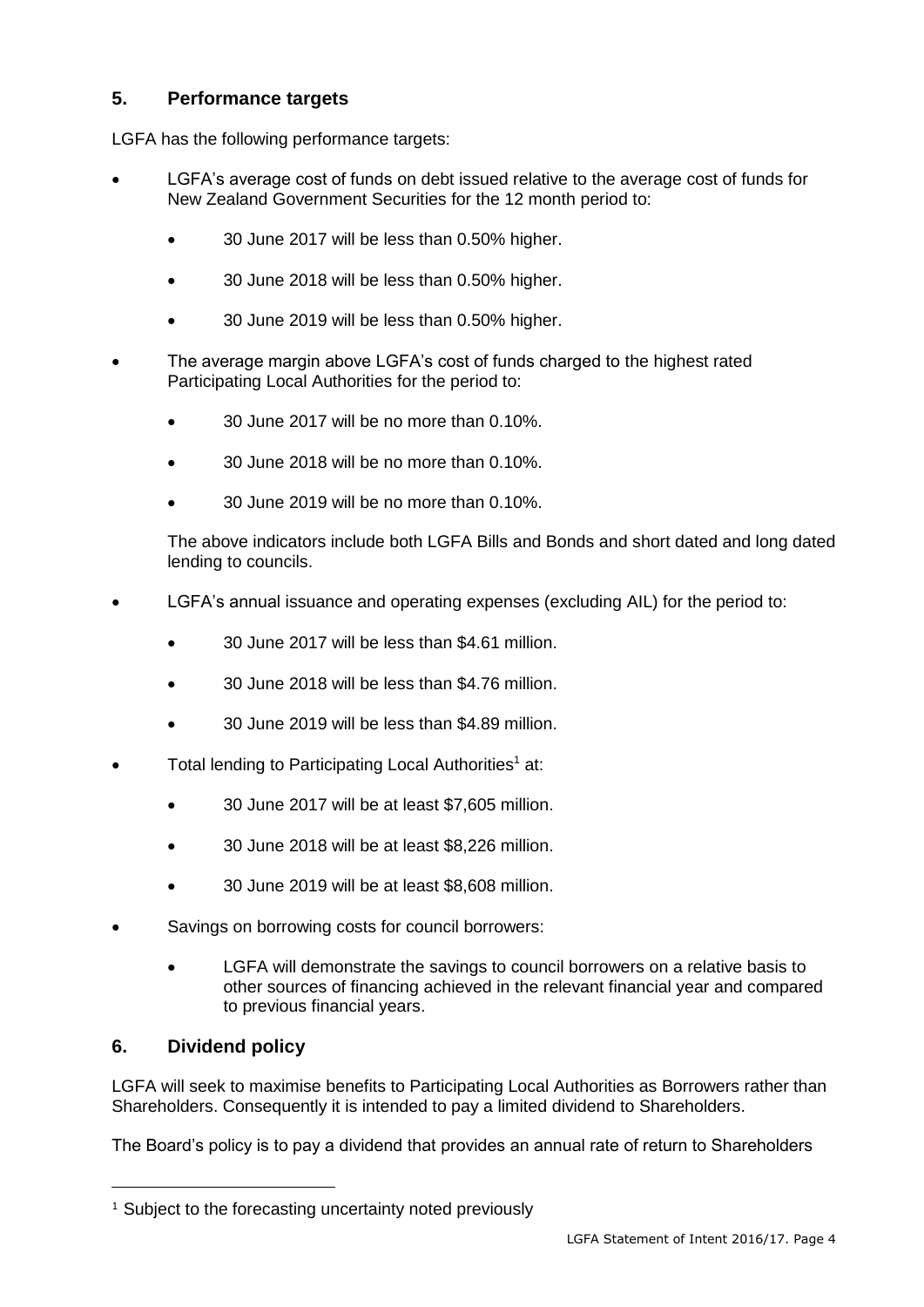# **5. Performance targets**

LGFA has the following performance targets:

- LGFA's average cost of funds on debt issued relative to the average cost of funds for New Zealand Government Securities for the 12 month period to:
	- 30 June 2017 will be less than 0.50% higher.
	- 30 June 2018 will be less than 0.50% higher.
	- 30 June 2019 will be less than 0.50% higher.
- The average margin above LGFA's cost of funds charged to the highest rated Participating Local Authorities for the period to:
	- 30 June 2017 will be no more than 0.10%.
	- 30 June 2018 will be no more than 0.10%.
	- 30 June 2019 will be no more than 0.10%.

The above indicators include both LGFA Bills and Bonds and short dated and long dated lending to councils.

- LGFA's annual issuance and operating expenses (excluding AIL) for the period to:
	- 30 June 2017 will be less than \$4.61 million.
	- 30 June 2018 will be less than \$4.76 million.
	- 30 June 2019 will be less than \$4.89 million.
- Total lending to Participating Local Authorities<sup>1</sup> at:
	- 30 June 2017 will be at least \$7,605 million.
	- 30 June 2018 will be at least \$8,226 million.
	- 30 June 2019 will be at least \$8,608 million.
- Savings on borrowing costs for council borrowers:
	- LGFA will demonstrate the savings to council borrowers on a relative basis to other sources of financing achieved in the relevant financial year and compared to previous financial years.

# **6. Dividend policy**

-

LGFA will seek to maximise benefits to Participating Local Authorities as Borrowers rather than Shareholders. Consequently it is intended to pay a limited dividend to Shareholders.

The Board's policy is to pay a dividend that provides an annual rate of return to Shareholders

<sup>&</sup>lt;sup>1</sup> Subject to the forecasting uncertainty noted previously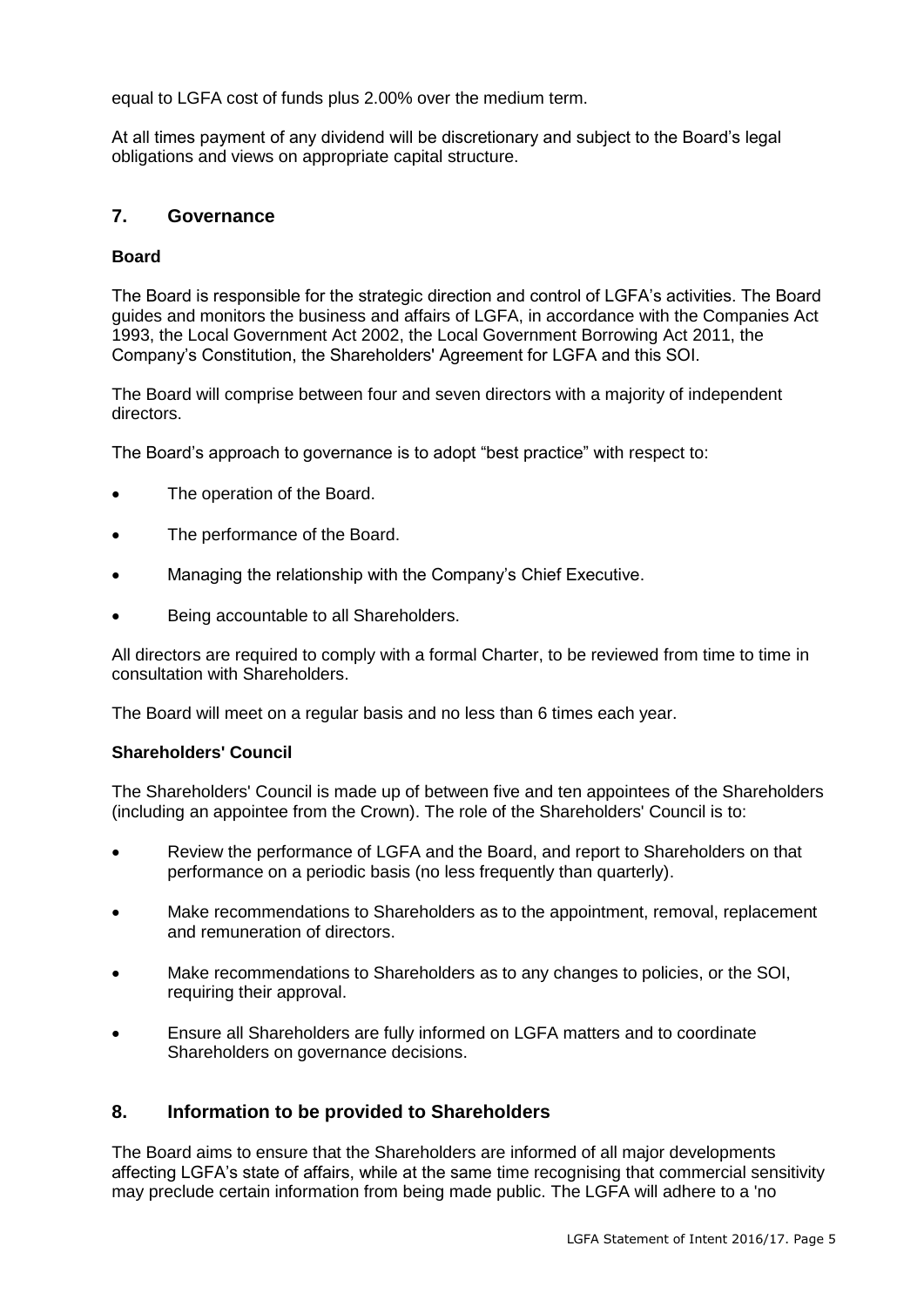equal to LGFA cost of funds plus 2.00% over the medium term.

At all times payment of any dividend will be discretionary and subject to the Board's legal obligations and views on appropriate capital structure.

# **7. Governance**

# **Board**

The Board is responsible for the strategic direction and control of LGFA's activities. The Board guides and monitors the business and affairs of LGFA, in accordance with the Companies Act 1993, the Local Government Act 2002, the Local Government Borrowing Act 2011, the Company's Constitution, the Shareholders' Agreement for LGFA and this SOI.

The Board will comprise between four and seven directors with a majority of independent directors.

The Board's approach to governance is to adopt "best practice" with respect to:

- The operation of the Board.
- The performance of the Board.
- Managing the relationship with the Company's Chief Executive.
- Being accountable to all Shareholders.

All directors are required to comply with a formal Charter, to be reviewed from time to time in consultation with Shareholders.

The Board will meet on a regular basis and no less than 6 times each year.

# **Shareholders' Council**

The Shareholders' Council is made up of between five and ten appointees of the Shareholders (including an appointee from the Crown). The role of the Shareholders' Council is to:

- Review the performance of LGFA and the Board, and report to Shareholders on that performance on a periodic basis (no less frequently than quarterly).
- Make recommendations to Shareholders as to the appointment, removal, replacement and remuneration of directors.
- Make recommendations to Shareholders as to any changes to policies, or the SOI, requiring their approval.
- Ensure all Shareholders are fully informed on LGFA matters and to coordinate Shareholders on governance decisions.

# **8. Information to be provided to Shareholders**

The Board aims to ensure that the Shareholders are informed of all major developments affecting LGFA's state of affairs, while at the same time recognising that commercial sensitivity may preclude certain information from being made public. The LGFA will adhere to a 'no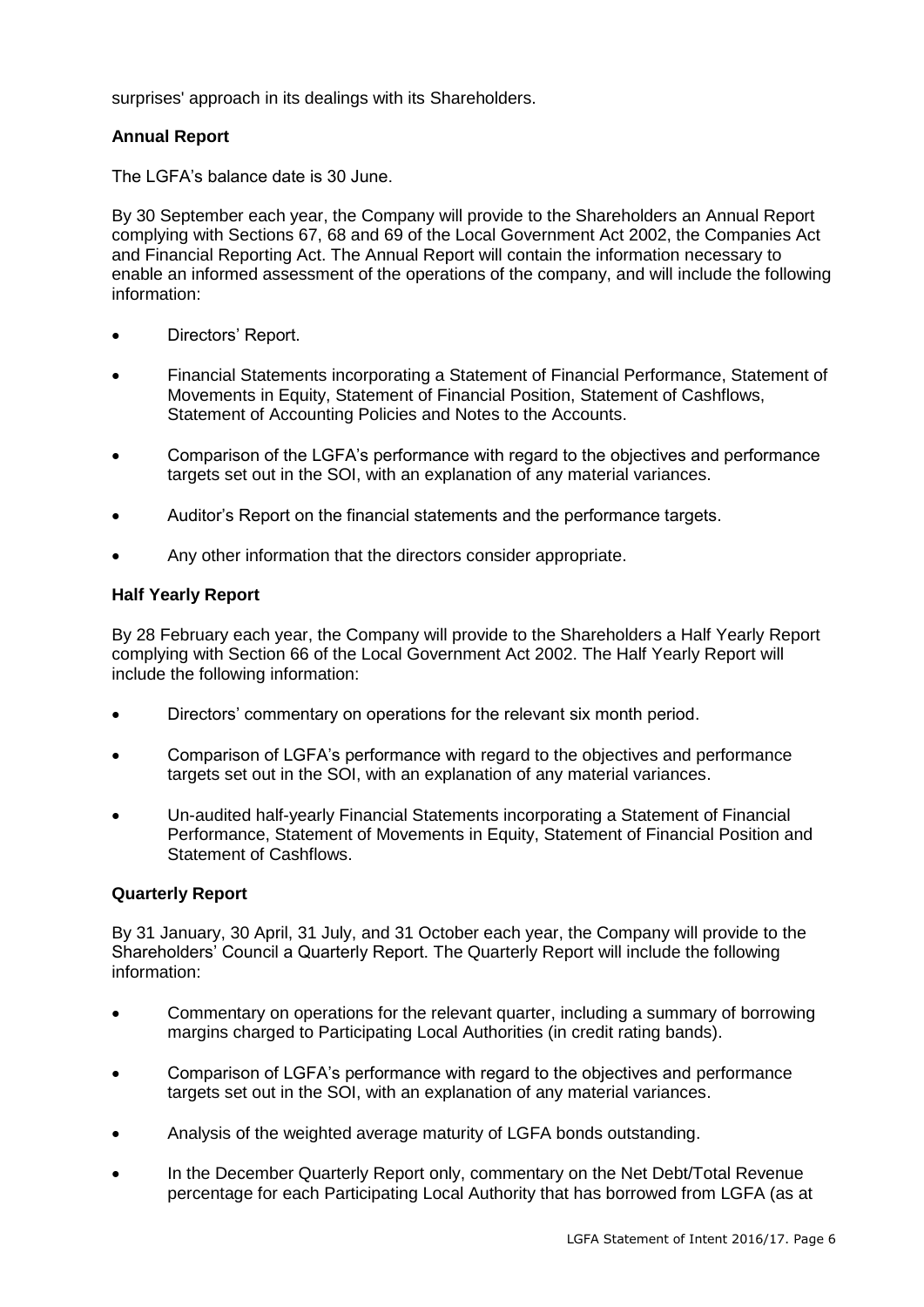surprises' approach in its dealings with its Shareholders.

# **Annual Report**

The LGFA's balance date is 30 June.

By 30 September each year, the Company will provide to the Shareholders an Annual Report complying with Sections 67, 68 and 69 of the Local Government Act 2002, the Companies Act and Financial Reporting Act. The Annual Report will contain the information necessary to enable an informed assessment of the operations of the company, and will include the following information:

- Directors' Report.
- Financial Statements incorporating a Statement of Financial Performance, Statement of Movements in Equity, Statement of Financial Position, Statement of Cashflows, Statement of Accounting Policies and Notes to the Accounts.
- Comparison of the LGFA's performance with regard to the objectives and performance targets set out in the SOI, with an explanation of any material variances.
- Auditor's Report on the financial statements and the performance targets.
- Any other information that the directors consider appropriate.

## **Half Yearly Report**

By 28 February each year, the Company will provide to the Shareholders a Half Yearly Report complying with Section 66 of the Local Government Act 2002. The Half Yearly Report will include the following information:

- Directors' commentary on operations for the relevant six month period.
- Comparison of LGFA's performance with regard to the objectives and performance targets set out in the SOI, with an explanation of any material variances.
- Un-audited half-yearly Financial Statements incorporating a Statement of Financial Performance, Statement of Movements in Equity, Statement of Financial Position and Statement of Cashflows.

# **Quarterly Report**

By 31 January, 30 April, 31 July, and 31 October each year, the Company will provide to the Shareholders' Council a Quarterly Report. The Quarterly Report will include the following information:

- Commentary on operations for the relevant quarter, including a summary of borrowing margins charged to Participating Local Authorities (in credit rating bands).
- Comparison of LGFA's performance with regard to the objectives and performance targets set out in the SOI, with an explanation of any material variances.
- Analysis of the weighted average maturity of LGFA bonds outstanding.
- In the December Quarterly Report only, commentary on the Net Debt/Total Revenue percentage for each Participating Local Authority that has borrowed from LGFA (as at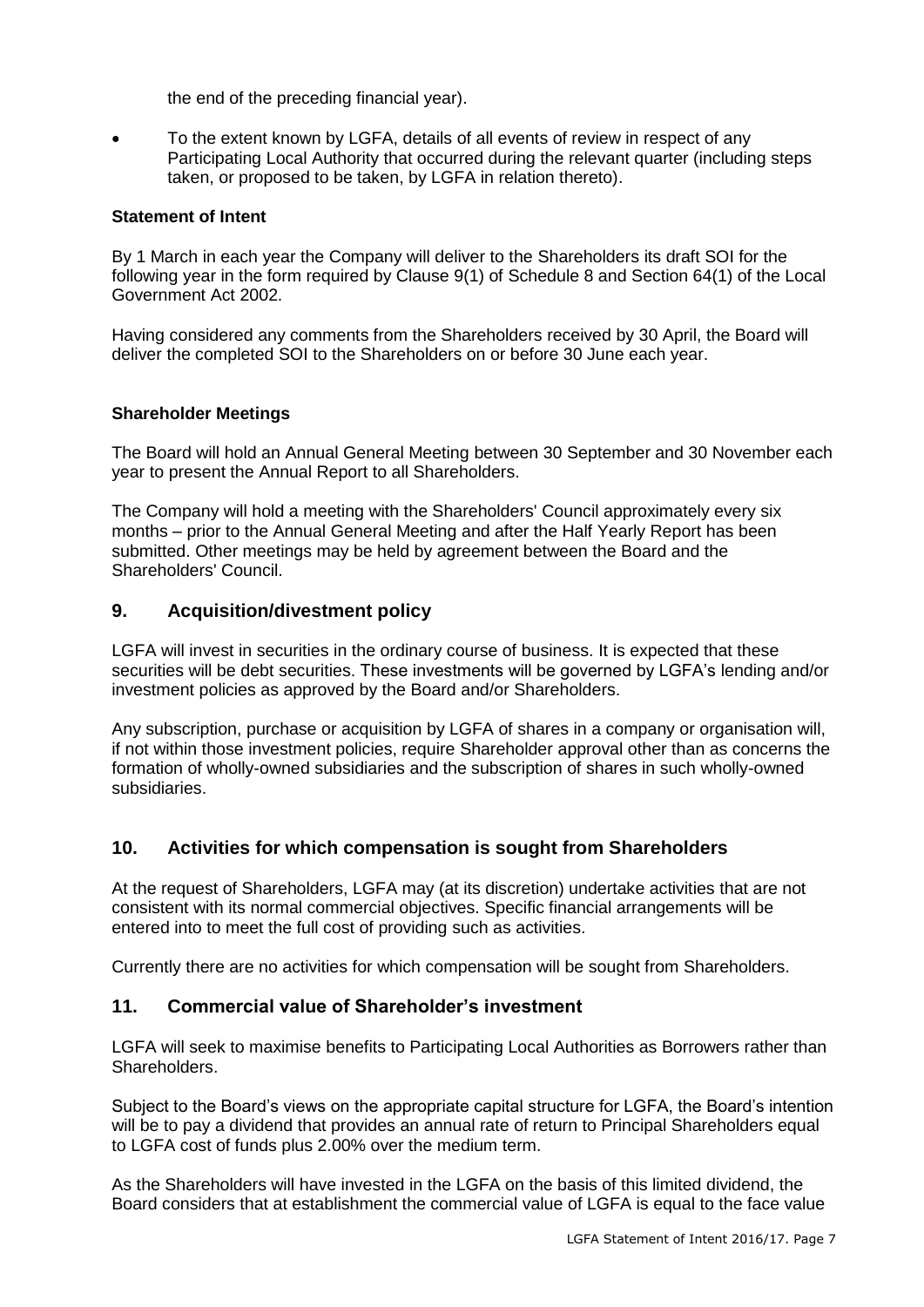the end of the preceding financial year).

 To the extent known by LGFA, details of all events of review in respect of any Participating Local Authority that occurred during the relevant quarter (including steps taken, or proposed to be taken, by LGFA in relation thereto).

# **Statement of Intent**

By 1 March in each year the Company will deliver to the Shareholders its draft SOI for the following year in the form required by Clause 9(1) of Schedule 8 and Section 64(1) of the Local Government Act 2002.

Having considered any comments from the Shareholders received by 30 April, the Board will deliver the completed SOI to the Shareholders on or before 30 June each year.

# **Shareholder Meetings**

The Board will hold an Annual General Meeting between 30 September and 30 November each year to present the Annual Report to all Shareholders.

The Company will hold a meeting with the Shareholders' Council approximately every six months – prior to the Annual General Meeting and after the Half Yearly Report has been submitted. Other meetings may be held by agreement between the Board and the Shareholders' Council.

# **9. Acquisition/divestment policy**

LGFA will invest in securities in the ordinary course of business. It is expected that these securities will be debt securities. These investments will be governed by LGFA's lending and/or investment policies as approved by the Board and/or Shareholders.

Any subscription, purchase or acquisition by LGFA of shares in a company or organisation will, if not within those investment policies, require Shareholder approval other than as concerns the formation of wholly-owned subsidiaries and the subscription of shares in such wholly-owned subsidiaries.

# **10. Activities for which compensation is sought from Shareholders**

At the request of Shareholders, LGFA may (at its discretion) undertake activities that are not consistent with its normal commercial objectives. Specific financial arrangements will be entered into to meet the full cost of providing such as activities.

Currently there are no activities for which compensation will be sought from Shareholders.

# **11. Commercial value of Shareholder's investment**

LGFA will seek to maximise benefits to Participating Local Authorities as Borrowers rather than Shareholders.

Subject to the Board's views on the appropriate capital structure for LGFA, the Board's intention will be to pay a dividend that provides an annual rate of return to Principal Shareholders equal to LGFA cost of funds plus 2.00% over the medium term.

As the Shareholders will have invested in the LGFA on the basis of this limited dividend, the Board considers that at establishment the commercial value of LGFA is equal to the face value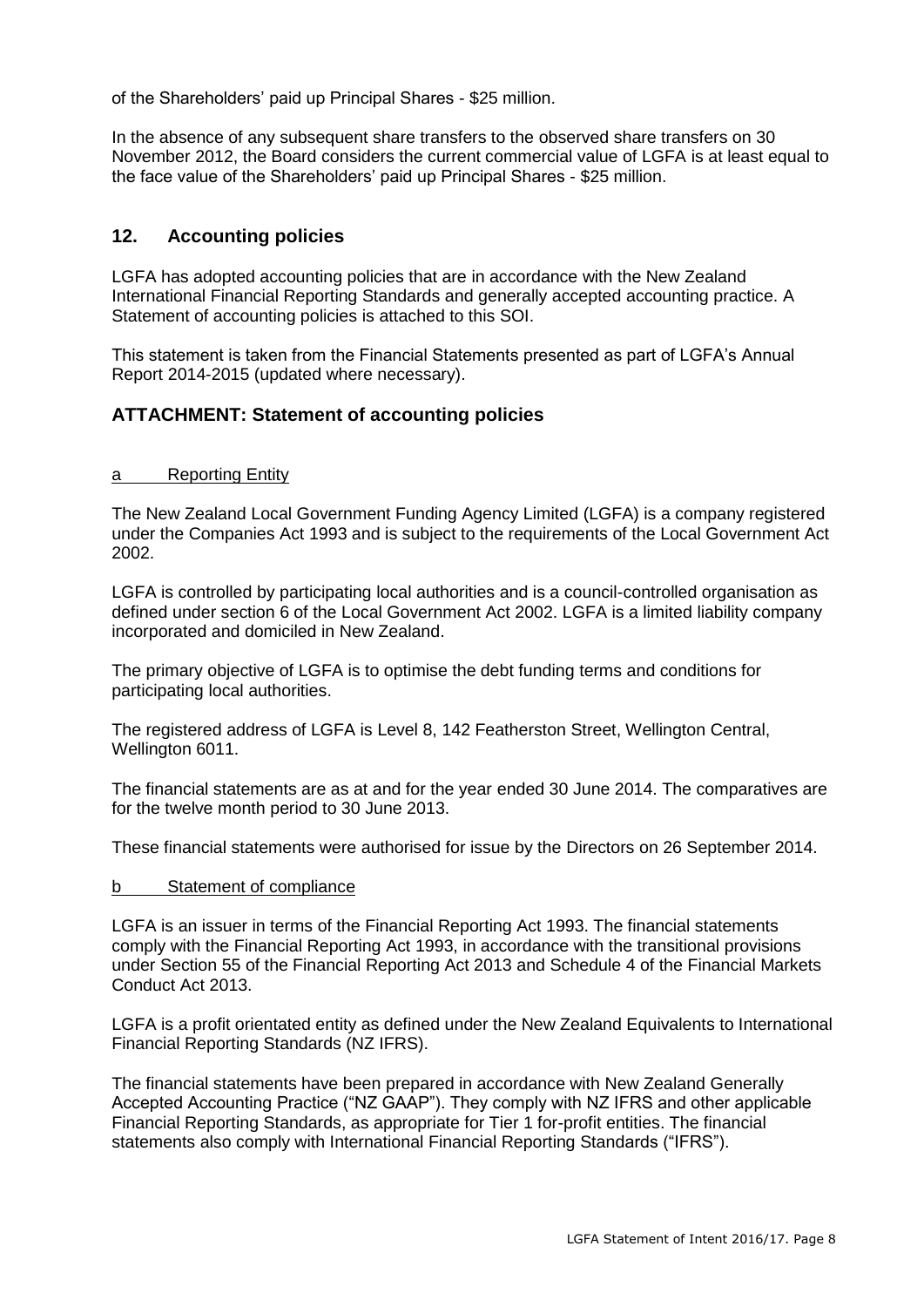of the Shareholders' paid up Principal Shares - \$25 million.

In the absence of any subsequent share transfers to the observed share transfers on 30 November 2012, the Board considers the current commercial value of LGFA is at least equal to the face value of the Shareholders' paid up Principal Shares - \$25 million.

# **12. Accounting policies**

LGFA has adopted accounting policies that are in accordance with the New Zealand International Financial Reporting Standards and generally accepted accounting practice. A Statement of accounting policies is attached to this SOI.

This statement is taken from the Financial Statements presented as part of LGFA's Annual Report 2014-2015 (updated where necessary).

# **ATTACHMENT: Statement of accounting policies**

#### a Reporting Entity

The New Zealand Local Government Funding Agency Limited (LGFA) is a company registered under the Companies Act 1993 and is subject to the requirements of the Local Government Act 2002.

LGFA is controlled by participating local authorities and is a council-controlled organisation as defined under section 6 of the Local Government Act 2002. LGFA is a limited liability company incorporated and domiciled in New Zealand.

The primary objective of LGFA is to optimise the debt funding terms and conditions for participating local authorities.

The registered address of LGFA is Level 8, 142 Featherston Street, Wellington Central, Wellington 6011.

The financial statements are as at and for the year ended 30 June 2014. The comparatives are for the twelve month period to 30 June 2013.

These financial statements were authorised for issue by the Directors on 26 September 2014.

#### b Statement of compliance

LGFA is an issuer in terms of the Financial Reporting Act 1993. The financial statements comply with the Financial Reporting Act 1993, in accordance with the transitional provisions under Section 55 of the Financial Reporting Act 2013 and Schedule 4 of the Financial Markets Conduct Act 2013.

LGFA is a profit orientated entity as defined under the New Zealand Equivalents to International Financial Reporting Standards (NZ IFRS).

The financial statements have been prepared in accordance with New Zealand Generally Accepted Accounting Practice ("NZ GAAP"). They comply with NZ IFRS and other applicable Financial Reporting Standards, as appropriate for Tier 1 for-profit entities. The financial statements also comply with International Financial Reporting Standards ("IFRS").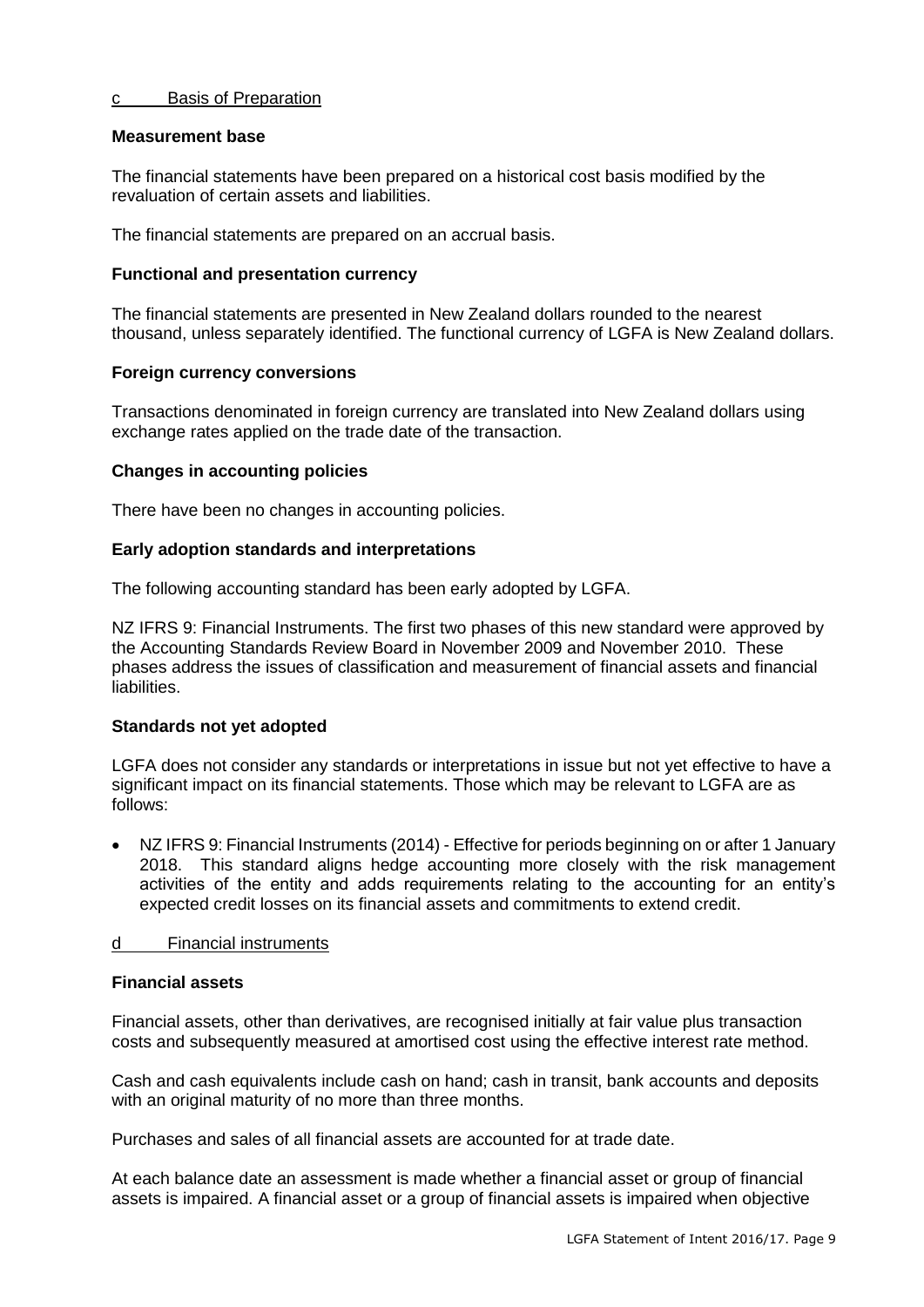#### c Basis of Preparation

#### **Measurement base**

The financial statements have been prepared on a historical cost basis modified by the revaluation of certain assets and liabilities.

The financial statements are prepared on an accrual basis.

#### **Functional and presentation currency**

The financial statements are presented in New Zealand dollars rounded to the nearest thousand, unless separately identified. The functional currency of LGFA is New Zealand dollars.

## **Foreign currency conversions**

Transactions denominated in foreign currency are translated into New Zealand dollars using exchange rates applied on the trade date of the transaction.

## **Changes in accounting policies**

There have been no changes in accounting policies.

## **Early adoption standards and interpretations**

The following accounting standard has been early adopted by LGFA.

NZ IFRS 9: Financial Instruments. The first two phases of this new standard were approved by the Accounting Standards Review Board in November 2009 and November 2010. These phases address the issues of classification and measurement of financial assets and financial liabilities.

#### **Standards not yet adopted**

LGFA does not consider any standards or interpretations in issue but not yet effective to have a significant impact on its financial statements. Those which may be relevant to LGFA are as follows:

 NZ IFRS 9: Financial Instruments (2014) - Effective for periods beginning on or after 1 January 2018. This standard aligns hedge accounting more closely with the risk management activities of the entity and adds requirements relating to the accounting for an entity's expected credit losses on its financial assets and commitments to extend credit.

# d Financial instruments

# **Financial assets**

Financial assets, other than derivatives, are recognised initially at fair value plus transaction costs and subsequently measured at amortised cost using the effective interest rate method.

Cash and cash equivalents include cash on hand; cash in transit, bank accounts and deposits with an original maturity of no more than three months.

Purchases and sales of all financial assets are accounted for at trade date.

At each balance date an assessment is made whether a financial asset or group of financial assets is impaired. A financial asset or a group of financial assets is impaired when objective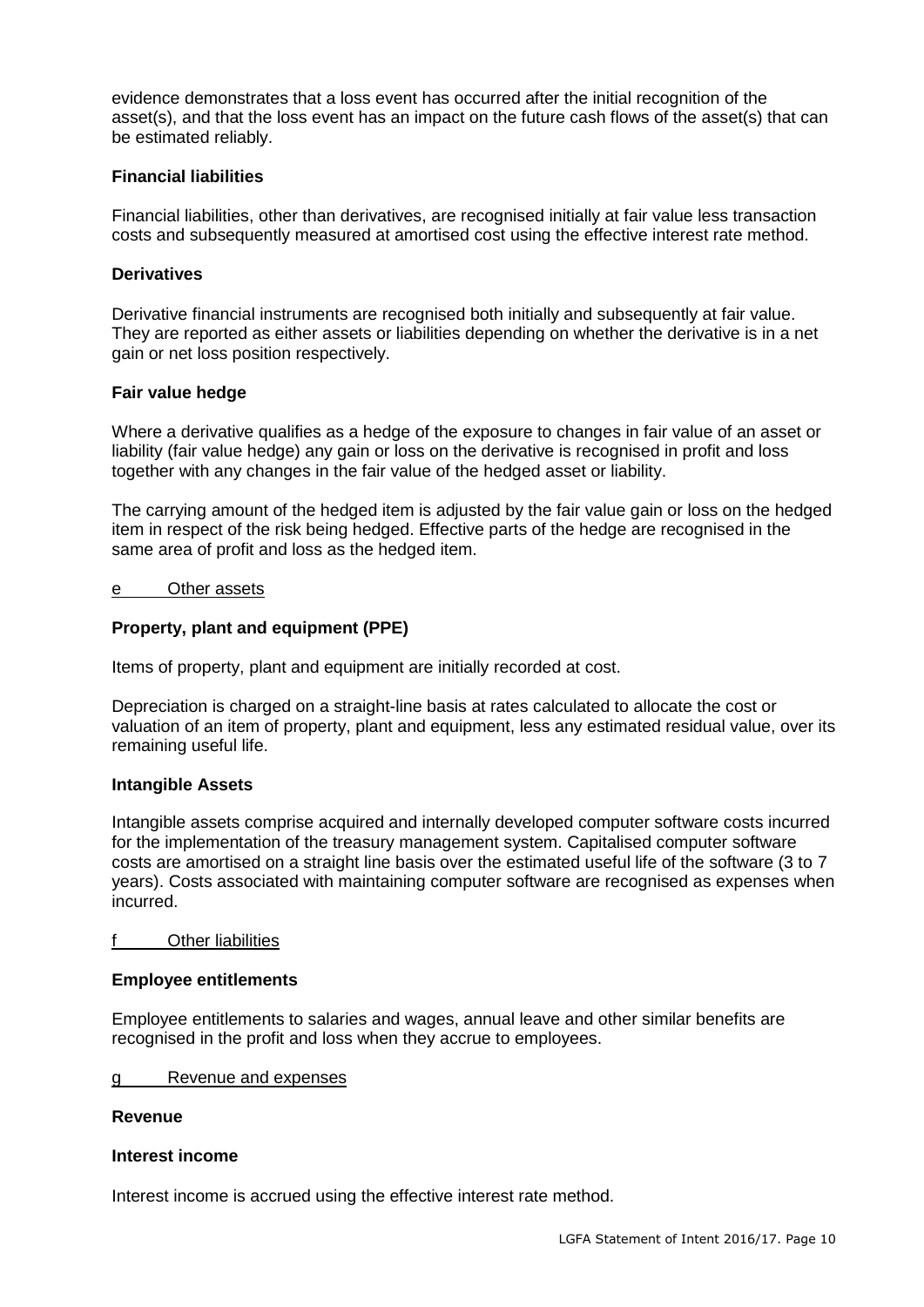evidence demonstrates that a loss event has occurred after the initial recognition of the asset(s), and that the loss event has an impact on the future cash flows of the asset(s) that can be estimated reliably.

## **Financial liabilities**

Financial liabilities, other than derivatives, are recognised initially at fair value less transaction costs and subsequently measured at amortised cost using the effective interest rate method.

#### **Derivatives**

Derivative financial instruments are recognised both initially and subsequently at fair value. They are reported as either assets or liabilities depending on whether the derivative is in a net gain or net loss position respectively.

## **Fair value hedge**

Where a derivative qualifies as a hedge of the exposure to changes in fair value of an asset or liability (fair value hedge) any gain or loss on the derivative is recognised in profit and loss together with any changes in the fair value of the hedged asset or liability.

The carrying amount of the hedged item is adjusted by the fair value gain or loss on the hedged item in respect of the risk being hedged. Effective parts of the hedge are recognised in the same area of profit and loss as the hedged item.

#### e Other assets

## **Property, plant and equipment (PPE)**

Items of property, plant and equipment are initially recorded at cost.

Depreciation is charged on a straight-line basis at rates calculated to allocate the cost or valuation of an item of property, plant and equipment, less any estimated residual value, over its remaining useful life.

#### **Intangible Assets**

Intangible assets comprise acquired and internally developed computer software costs incurred for the implementation of the treasury management system. Capitalised computer software costs are amortised on a straight line basis over the estimated useful life of the software (3 to 7 years). Costs associated with maintaining computer software are recognised as expenses when incurred.

#### f Other liabilities

#### **Employee entitlements**

Employee entitlements to salaries and wages, annual leave and other similar benefits are recognised in the profit and loss when they accrue to employees.

g Revenue and expenses

#### **Revenue**

#### **Interest income**

Interest income is accrued using the effective interest rate method.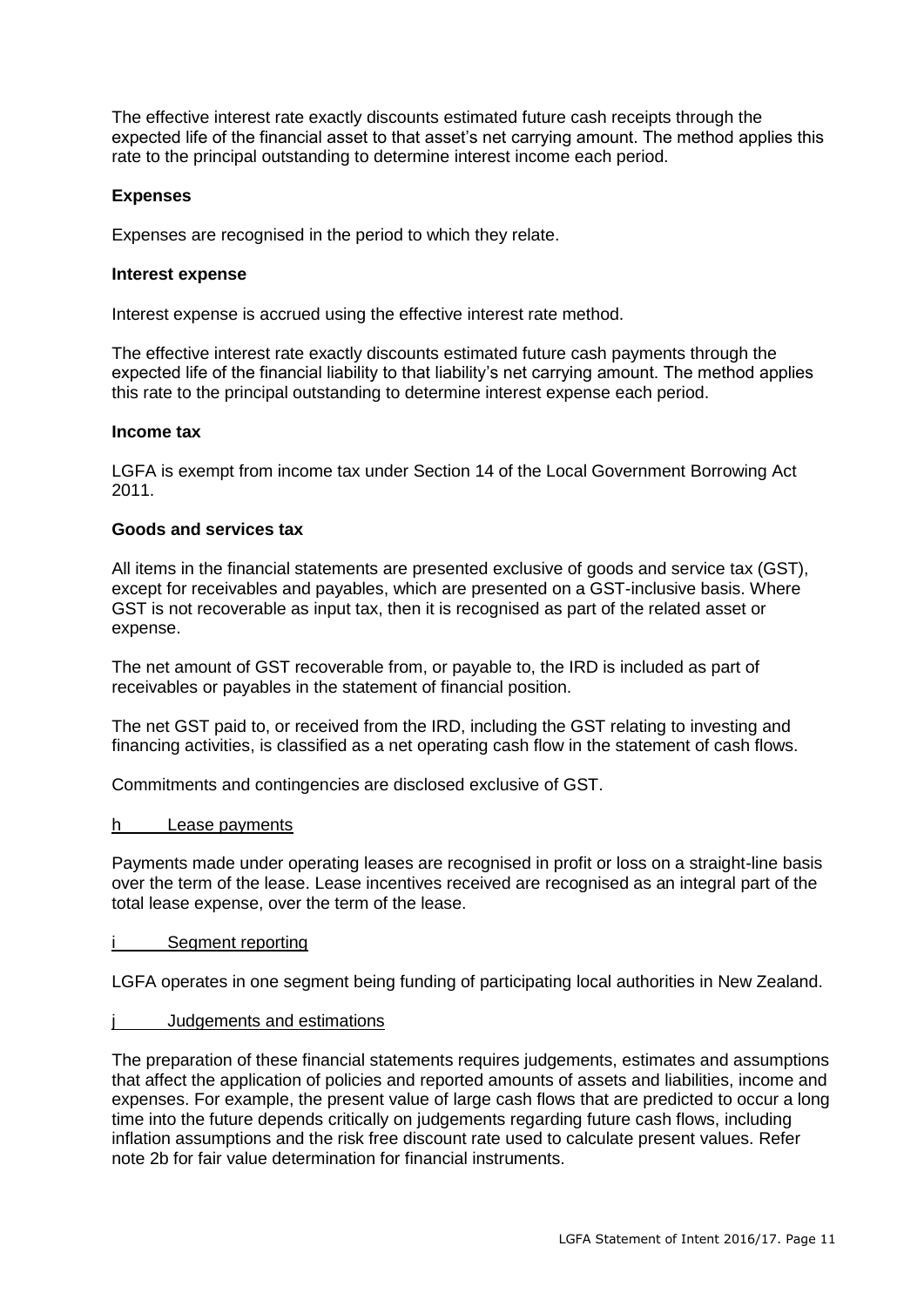The effective interest rate exactly discounts estimated future cash receipts through the expected life of the financial asset to that asset's net carrying amount. The method applies this rate to the principal outstanding to determine interest income each period.

# **Expenses**

Expenses are recognised in the period to which they relate.

#### **Interest expense**

Interest expense is accrued using the effective interest rate method.

The effective interest rate exactly discounts estimated future cash payments through the expected life of the financial liability to that liability's net carrying amount. The method applies this rate to the principal outstanding to determine interest expense each period.

#### **Income tax**

LGFA is exempt from income tax under Section 14 of the Local Government Borrowing Act 2011.

#### **Goods and services tax**

All items in the financial statements are presented exclusive of goods and service tax (GST), except for receivables and payables, which are presented on a GST-inclusive basis. Where GST is not recoverable as input tax, then it is recognised as part of the related asset or expense.

The net amount of GST recoverable from, or payable to, the IRD is included as part of receivables or payables in the statement of financial position.

The net GST paid to, or received from the IRD, including the GST relating to investing and financing activities, is classified as a net operating cash flow in the statement of cash flows.

Commitments and contingencies are disclosed exclusive of GST.

#### h Lease payments

Payments made under operating leases are recognised in profit or loss on a straight-line basis over the term of the lease. Lease incentives received are recognised as an integral part of the total lease expense, over the term of the lease.

#### i Segment reporting

LGFA operates in one segment being funding of participating local authorities in New Zealand.

#### j Judgements and estimations

The preparation of these financial statements requires judgements, estimates and assumptions that affect the application of policies and reported amounts of assets and liabilities, income and expenses. For example, the present value of large cash flows that are predicted to occur a long time into the future depends critically on judgements regarding future cash flows, including inflation assumptions and the risk free discount rate used to calculate present values. Refer note 2b for fair value determination for financial instruments.